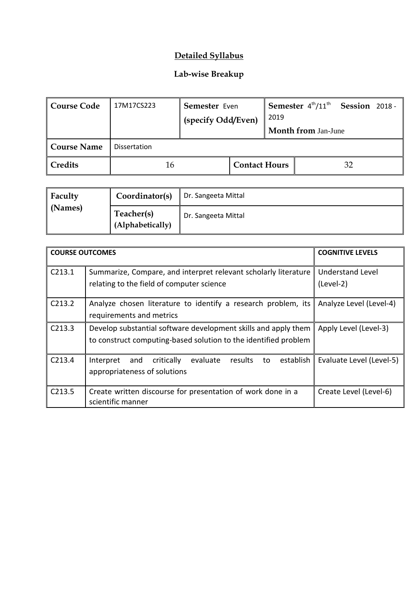## **Detailed Syllabus**

## **Lab-wise Breakup**

| <b>Course Code</b> | 17M17CS223          | Semester Even<br>(specify Odd/Even) |                      | 2019 | Semester $4^{\text{th}}/11^{\text{th}}$ | <b>Session 2018 -</b> |  |
|--------------------|---------------------|-------------------------------------|----------------------|------|-----------------------------------------|-----------------------|--|
|                    |                     |                                     |                      |      | <b>Month from Jan-June</b>              |                       |  |
| <b>Course Name</b> | <b>Dissertation</b> |                                     |                      |      |                                         |                       |  |
| <b>Credits</b>     | 16                  |                                     | <b>Contact Hours</b> |      |                                         | 32                    |  |

| Faculty<br>(Names) | Coordinator(s)                 | Dr. Sangeeta Mittal |
|--------------------|--------------------------------|---------------------|
|                    | Teacher(s)<br>(Alphabetically) | Dr. Sangeeta Mittal |

| <b>COURSE OUTCOMES</b> |                                                                          | <b>COGNITIVE LEVELS</b>  |
|------------------------|--------------------------------------------------------------------------|--------------------------|
| C213.1                 | Summarize, Compare, and interpret relevant scholarly literature          | Understand Level         |
|                        | relating to the field of computer science                                | (Level-2)                |
| C <sub>213.2</sub>     | Analyze chosen literature to identify a research problem, its            | Analyze Level (Level-4)  |
|                        | requirements and metrics                                                 |                          |
| C <sub>213.3</sub>     | Develop substantial software development skills and apply them           | Apply Level (Level-3)    |
|                        | to construct computing-based solution to the identified problem          |                          |
| C213.4                 | evaluate<br>establish<br>critically<br>results<br>to<br>Interpret<br>and | Evaluate Level (Level-5) |
|                        | appropriateness of solutions                                             |                          |
| C213.5                 | Create written discourse for presentation of work done in a              | Create Level (Level-6)   |
|                        | scientific manner                                                        |                          |